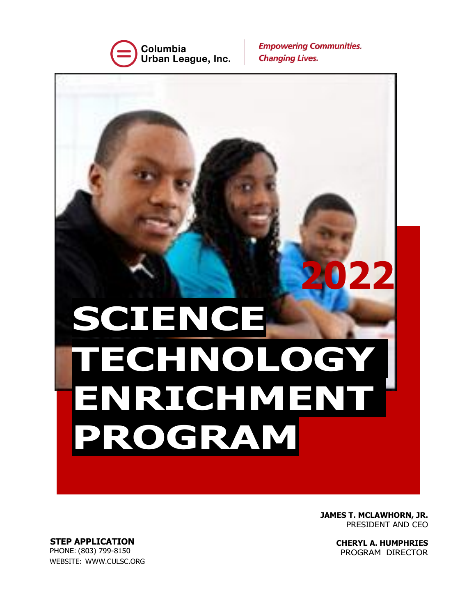

**Empowering Communities. Changing Lives.** 

**2022 SCIENCE TECHNOLOGY ENRICHMENT PROGRAM**

> **JAMES T. MCLAWHORN, JR.** PRESIDENT AND CEO

> > **CHERYL A. HUMPHRIES** PROGRAM DIRECTOR

**STEP APPLICATION** PHONE: (803) 799-8150 WEBSITE: WWW.CULSC.ORG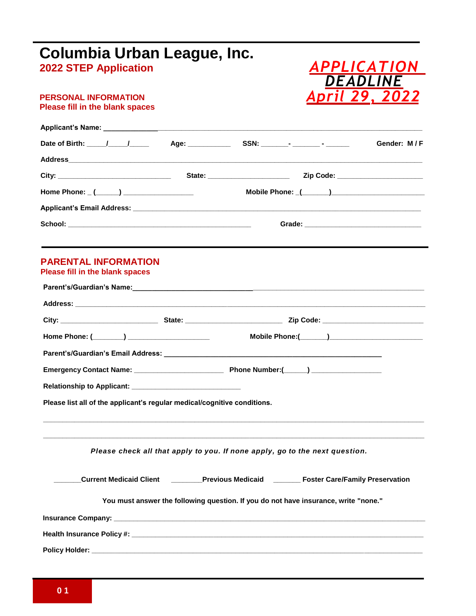| Columbia Urban League, Inc.                                              |                                                                                             |
|--------------------------------------------------------------------------|---------------------------------------------------------------------------------------------|
| <b>2022 STEP Application</b>                                             | <i><b>APPLICATION</b></i><br><i><b>DEADLINE</b></i>                                         |
| <b>PERSONAL INFORMATION</b><br><b>Please fill in the blank spaces</b>    | April 29, 2022                                                                              |
|                                                                          |                                                                                             |
|                                                                          | Gender: M/F                                                                                 |
|                                                                          |                                                                                             |
|                                                                          |                                                                                             |
|                                                                          |                                                                                             |
|                                                                          |                                                                                             |
|                                                                          |                                                                                             |
|                                                                          |                                                                                             |
| <b>PARENTAL INFORMATION</b><br>Please fill in the blank spaces           |                                                                                             |
|                                                                          |                                                                                             |
|                                                                          |                                                                                             |
|                                                                          |                                                                                             |
|                                                                          |                                                                                             |
|                                                                          |                                                                                             |
|                                                                          |                                                                                             |
|                                                                          |                                                                                             |
| Please list all of the applicant's regular medical/cognitive conditions. |                                                                                             |
|                                                                          | Please check all that apply to you. If none apply, go to the next question.                 |
|                                                                          | Current Medicaid Client ________Previous Medicaid _________ Foster Care/Family Preservation |
|                                                                          | You must answer the following question. If you do not have insurance, write "none."         |
|                                                                          |                                                                                             |
|                                                                          |                                                                                             |
|                                                                          |                                                                                             |
|                                                                          |                                                                                             |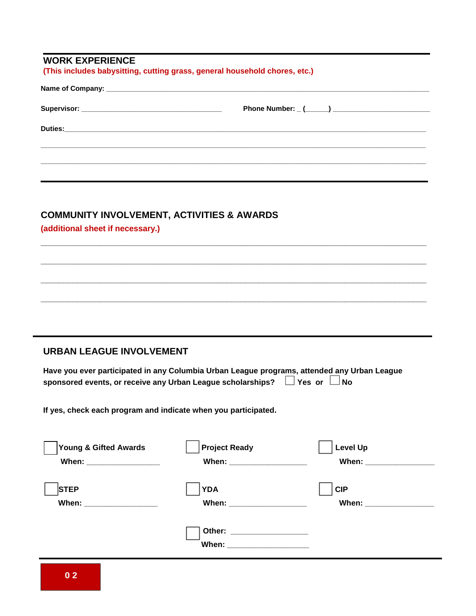| <b>COMMUNITY INVOLVEMENT, ACTIVITIES &amp; AWARDS</b><br>(additional sheet if necessary.)   |                                                                |                 |
|---------------------------------------------------------------------------------------------|----------------------------------------------------------------|-----------------|
|                                                                                             |                                                                |                 |
|                                                                                             |                                                                |                 |
|                                                                                             |                                                                |                 |
|                                                                                             |                                                                |                 |
|                                                                                             |                                                                |                 |
|                                                                                             |                                                                |                 |
| <b>URBAN LEAGUE INVOLVEMENT</b>                                                             |                                                                |                 |
| Have you ever participated in any Columbia Urban League programs, attended any Urban League |                                                                |                 |
| sponsored events, or receive any Urban League scholarships? $\Box$ Yes or $\Box$ No         |                                                                |                 |
|                                                                                             |                                                                |                 |
|                                                                                             | If yes, check each program and indicate when you participated. |                 |
|                                                                                             |                                                                |                 |
|                                                                                             |                                                                |                 |
| <b>Young &amp; Gifted Awards</b>                                                            | <b>Project Ready</b>                                           | <b>Level Up</b> |
| When: ___________________                                                                   |                                                                |                 |
| <b>STEP</b>                                                                                 | <b>YDA</b>                                                     | <b>CIP</b>      |
|                                                                                             |                                                                |                 |
|                                                                                             |                                                                |                 |

 $\blacksquare$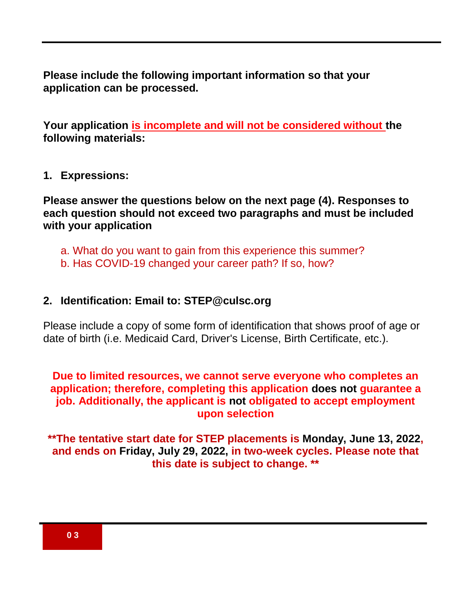**Please include the following important information so that your application can be processed.**

**Your application is incomplete and will not be considered without the following materials:**

## **1. Expressions:**

**Please answer the questions below on the next page (4). Responses to each question should not exceed two paragraphs and must be included with your application**

- a. What do you want to gain from this experience this summer?
- b. Has COVID-19 changed your career path? If so, how?

## **2. Identification: Email to: STEP@culsc.org**

Please include a copy of some form of identification that shows proof of age or date of birth (i.e. Medicaid Card, Driver's License, Birth Certificate, etc.).

# **Due to limited resources, we cannot serve everyone who completes an application; therefore, completing this application does not guarantee a job. Additionally, the applicant is not obligated to accept employment upon selection**

**\*\*The tentative start date for STEP placements is Monday, June 13, 2022, and ends on Friday, July 29, 2022, in two-week cycles. Please note that this date is subject to change. \*\***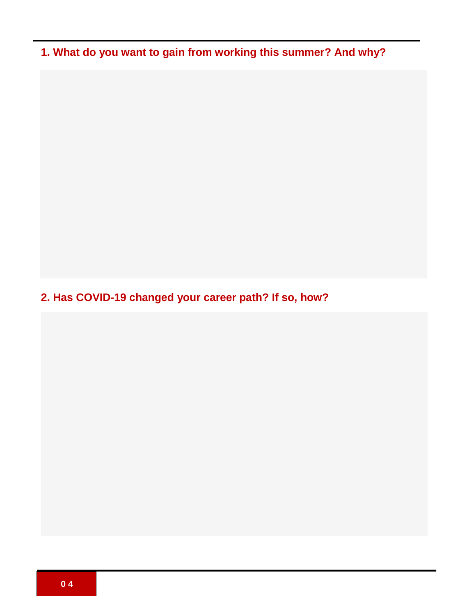**1. What do you want to gain from working this summer? And why?**

**2. Has COVID-19 changed your career path? If so, how?**